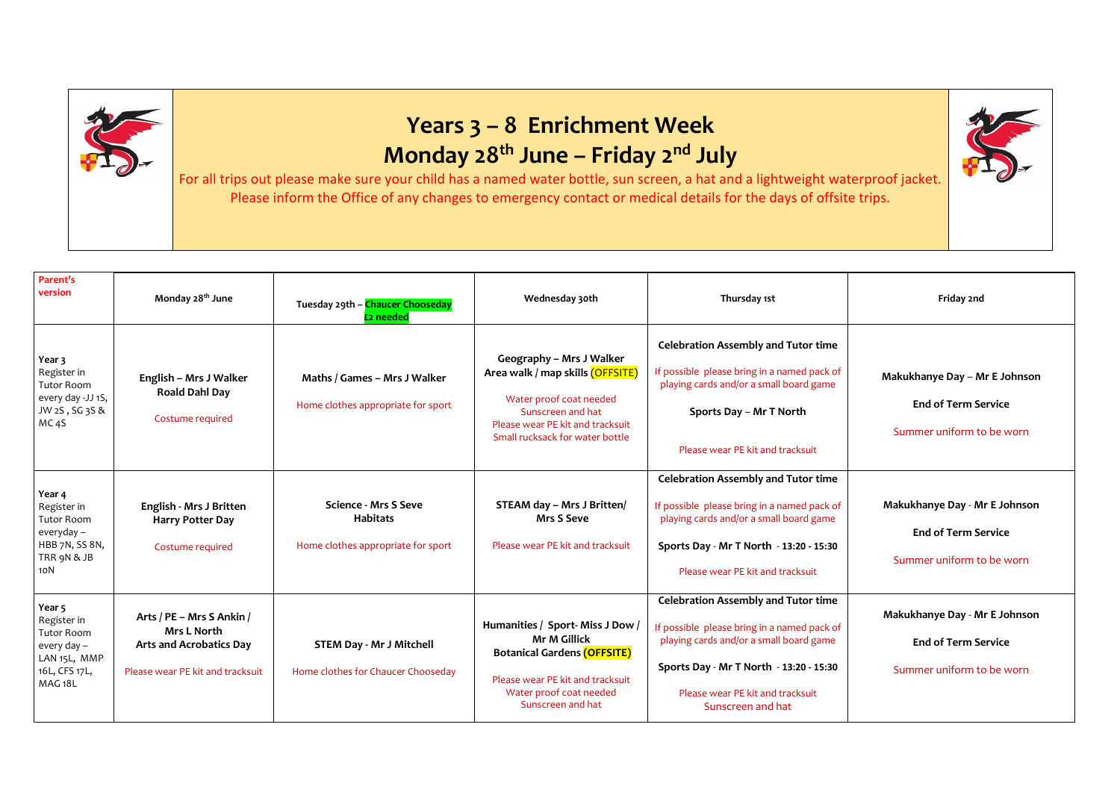

## **Years 3 – 8 Enrichment Week Monday 28th June – Friday 2nd July**

For all trips out please make sure your child has a named water bottle, sun screen, a hat and a lightweight waterproof jacket. Please inform the Office of any changes to emergency contact or medical details for the days of offsite trips.

| Parent's<br>version                                                                                    | Monday 28 <sup>th</sup> June                                                                                          | Tuesday 29th - Chaucer Chooseday<br>£2 needed                                 | Wednesday 30th                                                                                                                                                                      | Thursday 1st                                                                                                                                                                                                                             | Friday 2nd                                                                               |
|--------------------------------------------------------------------------------------------------------|-----------------------------------------------------------------------------------------------------------------------|-------------------------------------------------------------------------------|-------------------------------------------------------------------------------------------------------------------------------------------------------------------------------------|------------------------------------------------------------------------------------------------------------------------------------------------------------------------------------------------------------------------------------------|------------------------------------------------------------------------------------------|
| Year 3<br>Register in<br><b>Tutor Room</b><br>every day -JJ 1S,<br>JW 2S, SG 3S &<br>MC <sub>4</sub> S | English - Mrs J Walker<br><b>Roald Dahl Day</b><br>Costume required                                                   | Maths / Games - Mrs J Walker<br>Home clothes appropriate for sport            | Geography - Mrs J Walker<br>Area walk / map skills (OFFSITE)<br>Water proof coat needed<br>Sunscreen and hat<br>Please wear PE kit and tracksuit<br>Small rucksack for water bottle | <b>Celebration Assembly and Tutor time</b><br>If possible please bring in a named pack of<br>playing cards and/or a small board game<br>Sports Day - Mr T North<br>Please wear PE kit and tracksuit                                      | Makukhanye Day - Mr E Johnson<br><b>End of Term Service</b><br>Summer uniform to be worn |
| Year 4<br>Register in<br><b>Tutor Room</b><br>everyday-<br>HBB 7N, SS 8N,<br>TRR 9N & JB<br>10N        | English - Mrs J Britten<br><b>Harry Potter Day</b><br>Costume required                                                | Science - Mrs S Seve<br><b>Habitats</b><br>Home clothes appropriate for sport | <b>STEAM day - Mrs J Britten/</b><br>Mrs S Seve<br>Please wear PE kit and tracksuit                                                                                                 | <b>Celebration Assembly and Tutor time</b><br>If possible please bring in a named pack of<br>playing cards and/or a small board game<br>Sports Day - Mr T North - 13:20 - 15:30<br>Please wear PE kit and tracksuit                      | Makukhanye Day - Mr E Johnson<br><b>End of Term Service</b><br>Summer uniform to be worn |
| Year 5<br>Register in<br><b>Tutor Room</b><br>every day -<br>LAN 15L, MMP<br>16L, CFS 17L,<br>MAG 18L  | Arts / PE - Mrs S Ankin /<br><b>Mrs L North</b><br><b>Arts and Acrobatics Day</b><br>Please wear PE kit and tracksuit | <b>STEM Day - Mr J Mitchell</b><br>Home clothes for Chaucer Chooseday         | Humanities / Sport-Miss J Dow /<br><b>Mr M Gillick</b><br><b>Botanical Gardens (OFFSITE)</b><br>Please wear PE kit and tracksuit<br>Water proof coat needed<br>Sunscreen and hat    | <b>Celebration Assembly and Tutor time</b><br>If possible please bring in a named pack of<br>playing cards and/or a small board game<br>Sports Day - Mr T North - 13:20 - 15:30<br>Please wear PE kit and tracksuit<br>Sunscreen and hat | Makukhanye Day - Mr E Johnson<br><b>End of Term Service</b><br>Summer uniform to be worn |